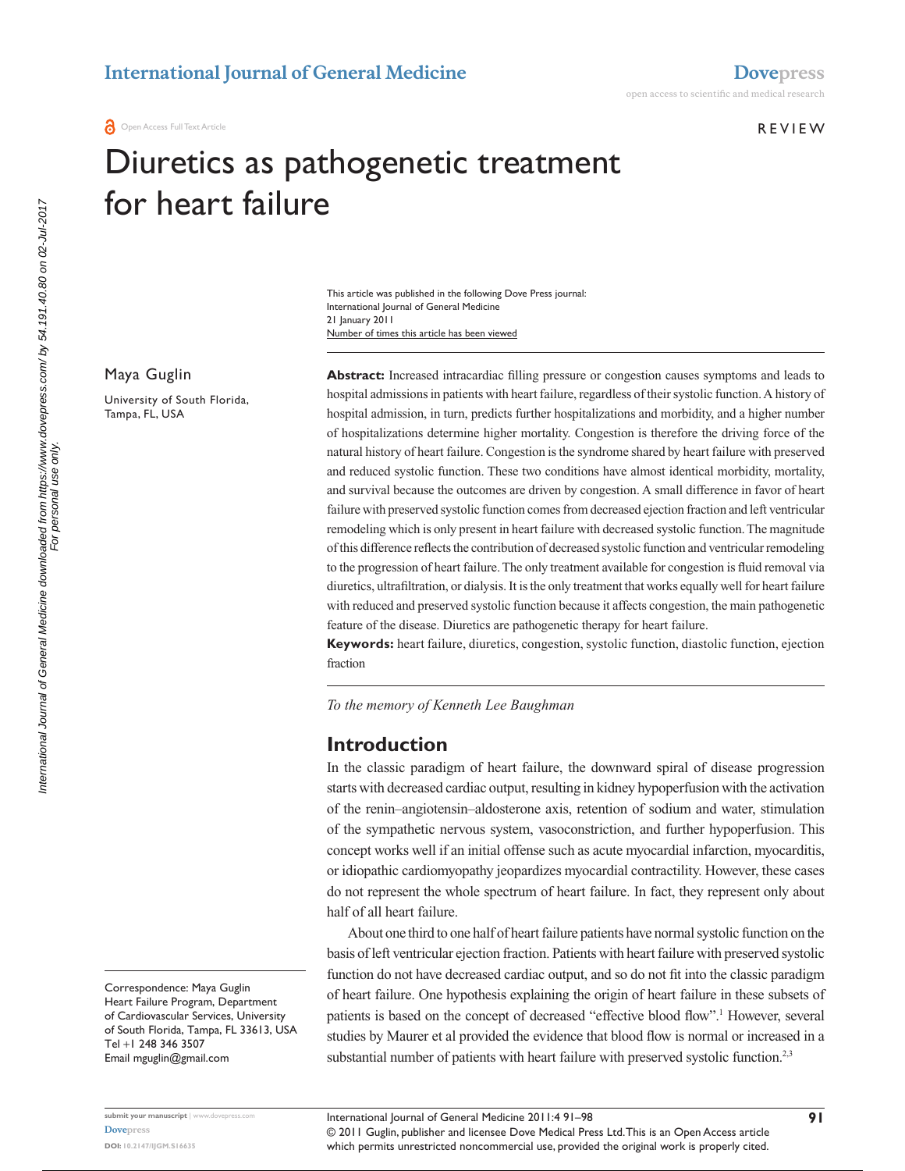**REVIEW** 

# Diuretics as pathogenetic treatment for heart failure

Number of times this article has been viewed This article was published in the following Dove Press journal: International Journal of General Medicine 21 January 2011

Maya Guglin

University of South Florida, Tampa, FL, USA

**Abstract:** Increased intracardiac filling pressure or congestion causes symptoms and leads to hospital admissions in patients with heart failure, regardless of their systolic function. A history of hospital admission, in turn, predicts further hospitalizations and morbidity, and a higher number of hospitalizations determine higher mortality. Congestion is therefore the driving force of the natural history of heart failure. Congestion is the syndrome shared by heart failure with preserved and reduced systolic function. These two conditions have almost identical morbidity, mortality, and survival because the outcomes are driven by congestion. A small difference in favor of heart failure with preserved systolic function comes from decreased ejection fraction and left ventricular remodeling which is only present in heart failure with decreased systolic function. The magnitude of this difference reflects the contribution of decreased systolic function and ventricular remodeling to the progression of heart failure. The only treatment available for congestion is fluid removal via diuretics, ultrafiltration, or dialysis. It is the only treatment that works equally well for heart failure with reduced and preserved systolic function because it affects congestion, the main pathogenetic feature of the disease. Diuretics are pathogenetic therapy for heart failure.

**Keywords:** heart failure, diuretics, congestion, systolic function, diastolic function, ejection fraction

*To the memory of Kenneth Lee Baughman*

#### **Introduction**

In the classic paradigm of heart failure, the downward spiral of disease progression starts with decreased cardiac output, resulting in kidney hypoperfusion with the activation of the renin–angiotensin–aldosterone axis, retention of sodium and water, stimulation of the sympathetic nervous system, vasoconstriction, and further hypoperfusion. This concept works well if an initial offense such as acute myocardial infarction, myocarditis, or idiopathic cardiomyopathy jeopardizes myocardial contractility. However, these cases do not represent the whole spectrum of heart failure. In fact, they represent only about half of all heart failure.

About one third to one half of heart failure patients have normal systolic function on the basis of left ventricular ejection fraction. Patients with heart failure with preserved systolic function do not have decreased cardiac output, and so do not fit into the classic paradigm of heart failure. One hypothesis explaining the origin of heart failure in these subsets of patients is based on the concept of decreased "effective blood flow".<sup>1</sup> However, several studies by Maurer et al provided the evidence that blood flow is normal or increased in a substantial number of patients with heart failure with preserved systolic function.<sup>2,3</sup>

Correspondence: Maya Guglin Heart Failure Program, Department of Cardiovascular Services, University of South Florida, Tampa, FL 33613, USA Tel +1 248 346 3507 Email [mguglin@gmail.com](mailto:mguglin@gmail.com)

submit your manuscript | www.dovepress.c **[Dovepress](www.dovepress.com) DOI: 10.2147/IJGM.S16635**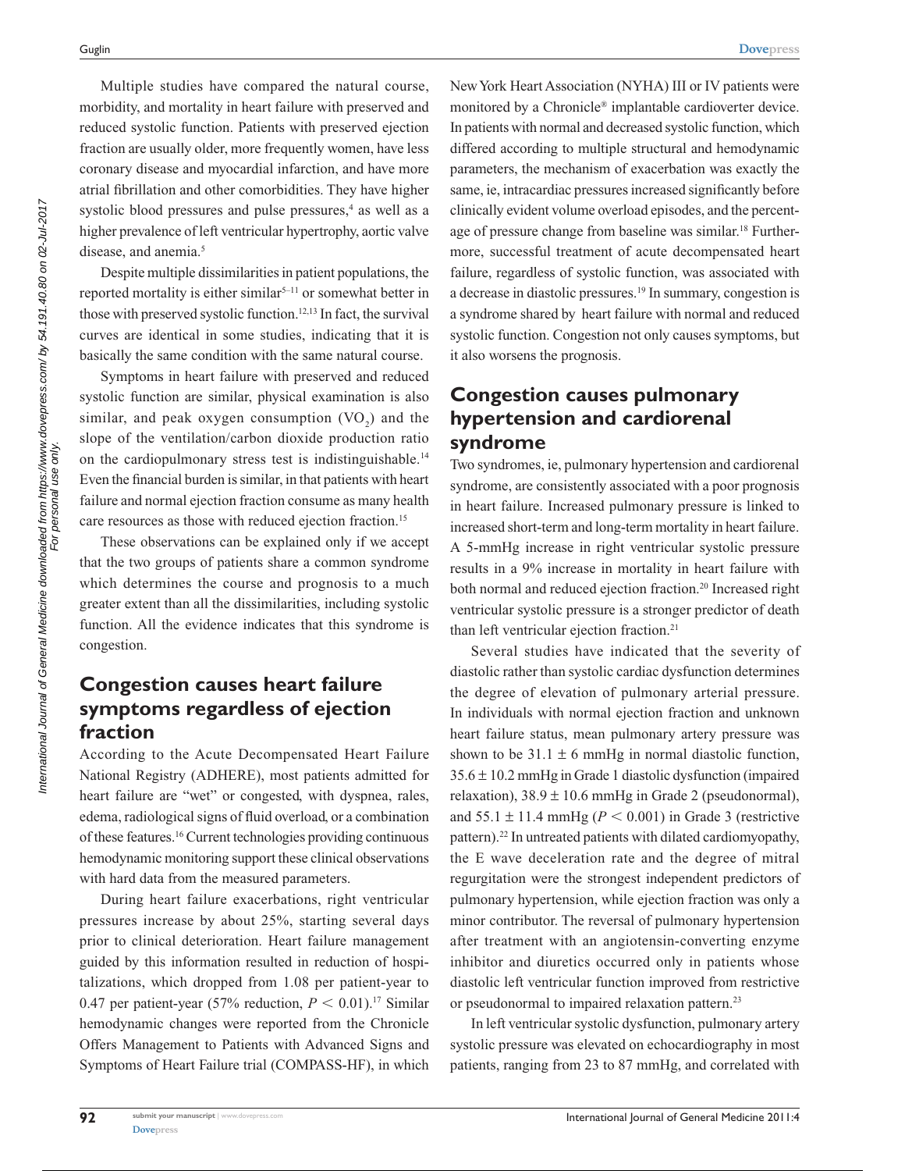Multiple studies have compared the natural course, morbidity, and mortality in heart failure with preserved and reduced systolic function. Patients with preserved ejection fraction are usually older, more frequently women, have less coronary disease and myocardial infarction, and have more atrial fibrillation and other comorbidities. They have higher systolic blood pressures and pulse pressures,<sup>4</sup> as well as a higher prevalence of left ventricular hypertrophy, aortic valve disease, and anemia.<sup>5</sup>

Despite multiple dissimilarities in patient populations, the reported mortality is either similar<sup>5-11</sup> or somewhat better in those with preserved systolic function.12,13 In fact, the survival curves are identical in some studies, indicating that it is basically the same condition with the same natural course.

Symptoms in heart failure with preserved and reduced systolic function are similar, physical examination is also similar, and peak oxygen consumption  $(VO_2)$  and the slope of the ventilation/carbon dioxide production ratio on the cardiopulmonary stress test is indistinguishable.<sup>14</sup> Even the financial burden is similar, in that patients with heart failure and normal ejection fraction consume as many health care resources as those with reduced ejection fraction.<sup>15</sup>

These observations can be explained only if we accept that the two groups of patients share a common syndrome which determines the course and prognosis to a much greater extent than all the dissimilarities, including systolic function. All the evidence indicates that this syndrome is congestion.

## **Congestion causes heart failure symptoms regardless of ejection fraction**

According to the Acute Decompensated Heart Failure National Registry (ADHERE), most patients admitted for heart failure are "wet" or congested, with dyspnea, rales, edema, radiological signs of fluid overload, or a combination of these features.16 Current technologies providing continuous hemodynamic monitoring support these clinical observations with hard data from the measured parameters.

During heart failure exacerbations, right ventricular pressures increase by about 25%, starting several days prior to clinical deterioration. Heart failure management guided by this information resulted in reduction of hospitalizations, which dropped from 1.08 per patient-year to 0.47 per patient-year (57% reduction,  $P < 0.01$ ).<sup>17</sup> Similar hemodynamic changes were reported from the Chronicle Offers Management to Patients with Advanced Signs and Symptoms of Heart Failure trial (COMPASS-HF), in which New York Heart Association (NYHA) III or IV patients were monitored by a Chronicle® implantable cardioverter device. In patients with normal and decreased systolic function, which differed according to multiple structural and hemodynamic parameters, the mechanism of exacerbation was exactly the same, ie, intracardiac pressures increased significantly before clinically evident volume overload episodes, and the percentage of pressure change from baseline was similar.<sup>18</sup> Furthermore, successful treatment of acute decompensated heart failure, regardless of systolic function, was associated with a decrease in diastolic pressures.19 In summary, congestion is a syndrome shared by heart failure with normal and reduced systolic function. Congestion not only causes symptoms, but it also worsens the prognosis.

# **Congestion causes pulmonary hypertension and cardiorenal syndrome**

Two syndromes, ie, pulmonary hypertension and cardiorenal syndrome, are consistently associated with a poor prognosis in heart failure. Increased pulmonary pressure is linked to increased short-term and long-term mortality in heart failure. A 5-mmHg increase in right ventricular systolic pressure results in a 9% increase in mortality in heart failure with both normal and reduced ejection fraction.<sup>20</sup> Increased right ventricular systolic pressure is a stronger predictor of death than left ventricular ejection fraction.<sup>21</sup>

Several studies have indicated that the severity of diastolic rather than systolic cardiac dysfunction determines the degree of elevation of pulmonary arterial pressure. In individuals with normal ejection fraction and unknown heart failure status, mean pulmonary artery pressure was shown to be  $31.1 \pm 6$  mmHg in normal diastolic function, 35.6 ± 10.2 mmHg in Grade 1 diastolic dysfunction (impaired relaxation),  $38.9 \pm 10.6$  mmHg in Grade 2 (pseudonormal), and 55.1  $\pm$  11.4 mmHg ( $P < 0.001$ ) in Grade 3 (restrictive pattern).<sup>22</sup> In untreated patients with dilated cardiomyopathy, the E wave deceleration rate and the degree of mitral regurgitation were the strongest independent predictors of pulmonary hypertension, while ejection fraction was only a minor contributor. The reversal of pulmonary hypertension after treatment with an angiotensin-converting enzyme inhibitor and diuretics occurred only in patients whose diastolic left ventricular function improved from restrictive or pseudonormal to impaired relaxation pattern.23

In left ventricular systolic dysfunction, pulmonary artery systolic pressure was elevated on echocardiography in most patients, ranging from 23 to 87 mmHg, and correlated with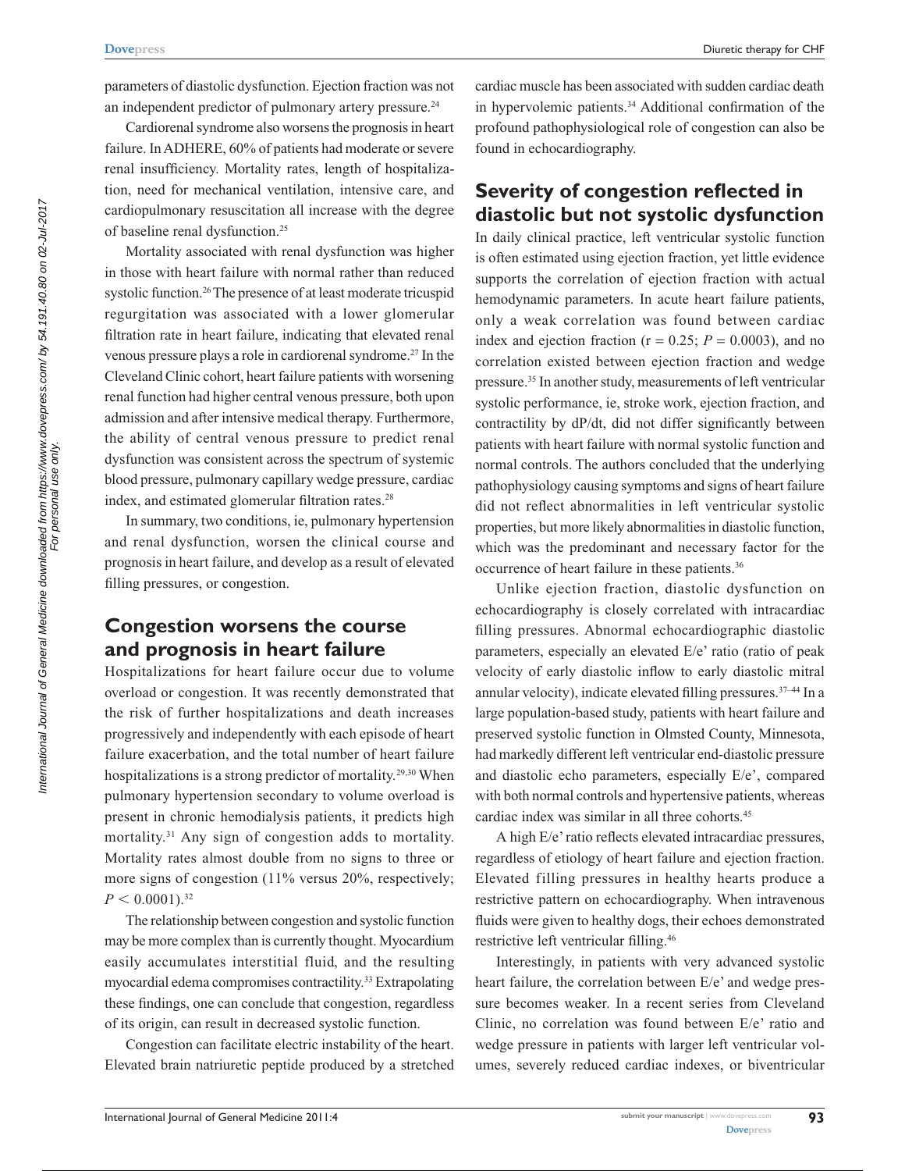parameters of diastolic dysfunction. Ejection fraction was not an independent predictor of pulmonary artery pressure.<sup>24</sup>

Cardiorenal syndrome also worsens the prognosis in heart failure. In ADHERE, 60% of patients had moderate or severe renal insufficiency. Mortality rates, length of hospitalization, need for mechanical ventilation, intensive care, and cardiopulmonary resuscitation all increase with the degree of baseline renal dysfunction.25

Mortality associated with renal dysfunction was higher in those with heart failure with normal rather than reduced systolic function.<sup>26</sup> The presence of at least moderate tricuspid regurgitation was associated with a lower glomerular filtration rate in heart failure, indicating that elevated renal venous pressure plays a role in cardiorenal syndrome.27 In the Cleveland Clinic cohort, heart failure patients with worsening renal function had higher central venous pressure, both upon admission and after intensive medical therapy. Furthermore, the ability of central venous pressure to predict renal dysfunction was consistent across the spectrum of systemic blood pressure, pulmonary capillary wedge pressure, cardiac index, and estimated glomerular filtration rates.<sup>28</sup>

In summary, two conditions, ie, pulmonary hypertension and renal dysfunction, worsen the clinical course and prognosis in heart failure, and develop as a result of elevated filling pressures, or congestion.

# **Congestion worsens the course and prognosis in heart failure**

Hospitalizations for heart failure occur due to volume overload or congestion. It was recently demonstrated that the risk of further hospitalizations and death increases progressively and independently with each episode of heart failure exacerbation, and the total number of heart failure hospitalizations is a strong predictor of mortality.<sup>29,30</sup> When pulmonary hypertension secondary to volume overload is present in chronic hemodialysis patients, it predicts high mortality.31 Any sign of congestion adds to mortality. Mortality rates almost double from no signs to three or more signs of congestion (11% versus 20%, respectively;  $P < 0.0001$ <sup>32</sup>

The relationship between congestion and systolic function may be more complex than is currently thought. Myocardium easily accumulates interstitial fluid, and the resulting myocardial edema compromises contractility.<sup>33</sup> Extrapolating these findings, one can conclude that congestion, regardless of its origin, can result in decreased systolic function.

Congestion can facilitate electric instability of the heart. Elevated brain natriuretic peptide produced by a stretched cardiac muscle has been associated with sudden cardiac death in hypervolemic patients.34 Additional confirmation of the profound pathophysiological role of congestion can also be found in echocardiography.

#### **Severity of congestion reflected in diastolic but not systolic dysfunction**

In daily clinical practice, left ventricular systolic function is often estimated using ejection fraction, yet little evidence supports the correlation of ejection fraction with actual hemodynamic parameters. In acute heart failure patients, only a weak correlation was found between cardiac index and ejection fraction ( $r = 0.25$ ;  $P = 0.0003$ ), and no correlation existed between ejection fraction and wedge pressure.35 In another study, measurements of left ventricular systolic performance, ie, stroke work, ejection fraction, and contractility by dP/dt, did not differ significantly between patients with heart failure with normal systolic function and normal controls. The authors concluded that the underlying pathophysiology causing symptoms and signs of heart failure did not reflect abnormalities in left ventricular systolic properties, but more likely abnormalities in diastolic function, which was the predominant and necessary factor for the occurrence of heart failure in these patients.<sup>36</sup>

Unlike ejection fraction, diastolic dysfunction on echocardiography is closely correlated with intracardiac filling pressures. Abnormal echocardiographic diastolic parameters, especially an elevated E/e' ratio (ratio of peak velocity of early diastolic inflow to early diastolic mitral annular velocity), indicate elevated filling pressures. $37-44$  In a large population-based study, patients with heart failure and preserved systolic function in Olmsted County, Minnesota, had markedly different left ventricular end-diastolic pressure and diastolic echo parameters, especially E/e', compared with both normal controls and hypertensive patients, whereas cardiac index was similar in all three cohorts.<sup>45</sup>

A high E/e' ratio reflects elevated intracardiac pressures, regardless of etiology of heart failure and ejection fraction. Elevated filling pressures in healthy hearts produce a restrictive pattern on echocardiography. When intravenous fluids were given to healthy dogs, their echoes demonstrated restrictive left ventricular filling.46

Interestingly, in patients with very advanced systolic heart failure, the correlation between E/e' and wedge pressure becomes weaker. In a recent series from Cleveland Clinic, no correlation was found between E/e' ratio and wedge pressure in patients with larger left ventricular volumes, severely reduced cardiac indexes, or biventricular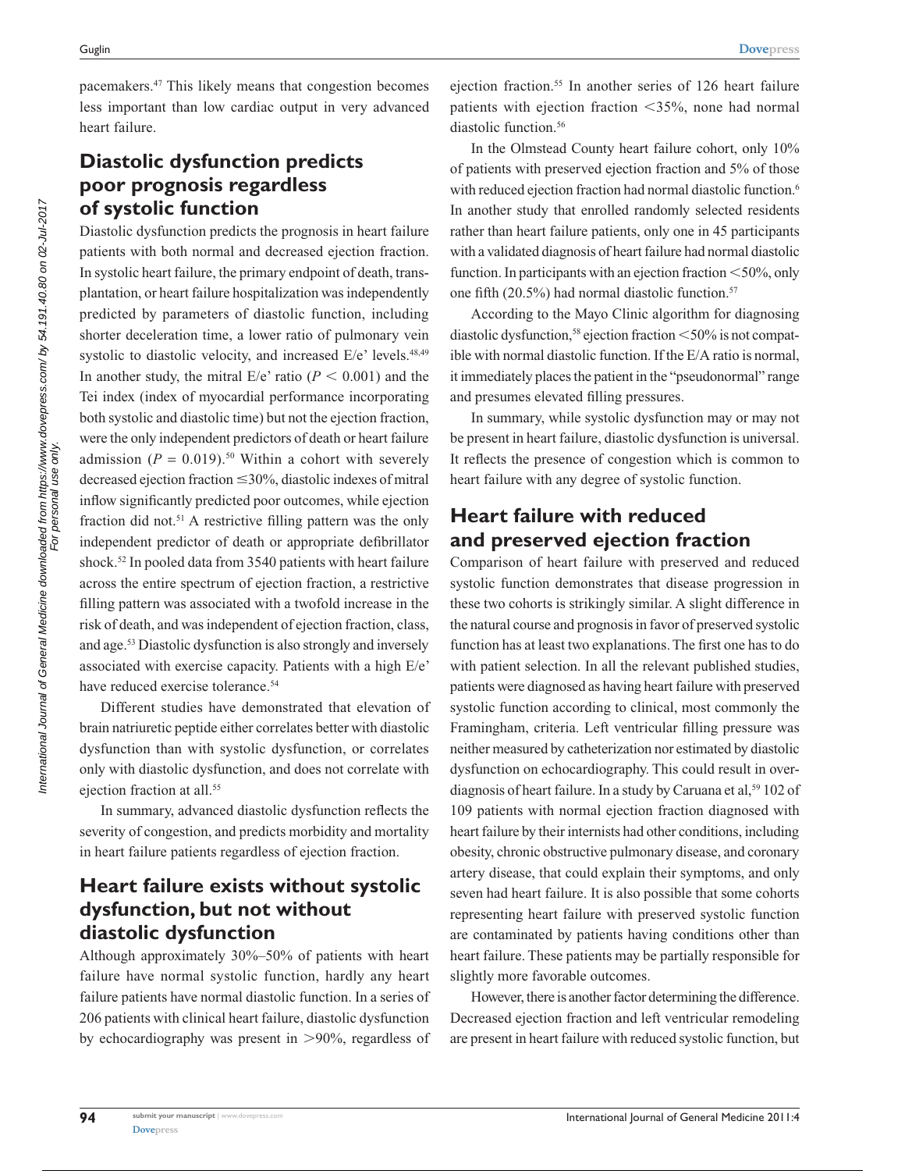pacemakers.47 This likely means that congestion becomes less important than low cardiac output in very advanced heart failure.

# **Diastolic dysfunction predicts poor prognosis regardless of systolic function**

Diastolic dysfunction predicts the prognosis in heart failure patients with both normal and decreased ejection fraction. In systolic heart failure, the primary endpoint of death, transplantation, or heart failure hospitalization was independently predicted by parameters of diastolic function, including shorter deceleration time, a lower ratio of pulmonary vein systolic to diastolic velocity, and increased E/e' levels.<sup>48,49</sup> In another study, the mitral  $E/e'$  ratio ( $P < 0.001$ ) and the Tei index (index of myocardial performance incorporating both systolic and diastolic time) but not the ejection fraction, were the only independent predictors of death or heart failure admission  $(P = 0.019)$ <sup>50</sup> Within a cohort with severely decreased ejection fraction  $\leq$ 30%, diastolic indexes of mitral inflow significantly predicted poor outcomes, while ejection fraction did not.<sup>51</sup> A restrictive filling pattern was the only independent predictor of death or appropriate defibrillator shock.<sup>52</sup> In pooled data from 3540 patients with heart failure across the entire spectrum of ejection fraction, a restrictive filling pattern was associated with a twofold increase in the risk of death, and was independent of ejection fraction, class, and age.53 Diastolic dysfunction is also strongly and inversely associated with exercise capacity. Patients with a high E/e' have reduced exercise tolerance.<sup>54</sup>

Different studies have demonstrated that elevation of brain natriuretic peptide either correlates better with diastolic dysfunction than with systolic dysfunction, or correlates only with diastolic dysfunction, and does not correlate with ejection fraction at all.<sup>55</sup>

In summary, advanced diastolic dysfunction reflects the severity of congestion, and predicts morbidity and mortality in heart failure patients regardless of ejection fraction.

# **Heart failure exists without systolic dysfunction, but not without diastolic dysfunction**

Although approximately 30%–50% of patients with heart failure have normal systolic function, hardly any heart failure patients have normal diastolic function. In a series of 206 patients with clinical heart failure, diastolic dysfunction by echocardiography was present in  $>90\%$ , regardless of

ejection fraction.55 In another series of 126 heart failure patients with ejection fraction  $\langle 35\%,$  none had normal diastolic function.<sup>56</sup>

In the Olmstead County heart failure cohort, only 10% of patients with preserved ejection fraction and 5% of those with reduced ejection fraction had normal diastolic function.<sup>6</sup> In another study that enrolled randomly selected residents rather than heart failure patients, only one in 45 participants with a validated diagnosis of heart failure had normal diastolic function. In participants with an ejection fraction  $\leq 50\%$ , only one fifth (20.5%) had normal diastolic function.<sup>57</sup>

According to the Mayo Clinic algorithm for diagnosing diastolic dysfunction,<sup>58</sup> ejection fraction  $\leq 50\%$  is not compatible with normal diastolic function. If the E/A ratio is normal, it immediately places the patient in the "pseudonormal" range and presumes elevated filling pressures.

In summary, while systolic dysfunction may or may not be present in heart failure, diastolic dysfunction is universal. It reflects the presence of congestion which is common to heart failure with any degree of systolic function.

## **Heart failure with reduced and preserved ejection fraction**

Comparison of heart failure with preserved and reduced systolic function demonstrates that disease progression in these two cohorts is strikingly similar. A slight difference in the natural course and prognosis in favor of preserved systolic function has at least two explanations. The first one has to do with patient selection. In all the relevant published studies, patients were diagnosed as having heart failure with preserved systolic function according to clinical, most commonly the Framingham, criteria. Left ventricular filling pressure was neither measured by catheterization nor estimated by diastolic dysfunction on echocardiography. This could result in overdiagnosis of heart failure. In a study by Caruana et al,<sup>59</sup> 102 of 109 patients with normal ejection fraction diagnosed with heart failure by their internists had other conditions, including obesity, chronic obstructive pulmonary disease, and coronary artery disease, that could explain their symptoms, and only seven had heart failure. It is also possible that some cohorts representing heart failure with preserved systolic function are contaminated by patients having conditions other than heart failure. These patients may be partially responsible for slightly more favorable outcomes.

However, there is another factor determining the difference. Decreased ejection fraction and left ventricular remodeling are present in heart failure with reduced systolic function, but

**94**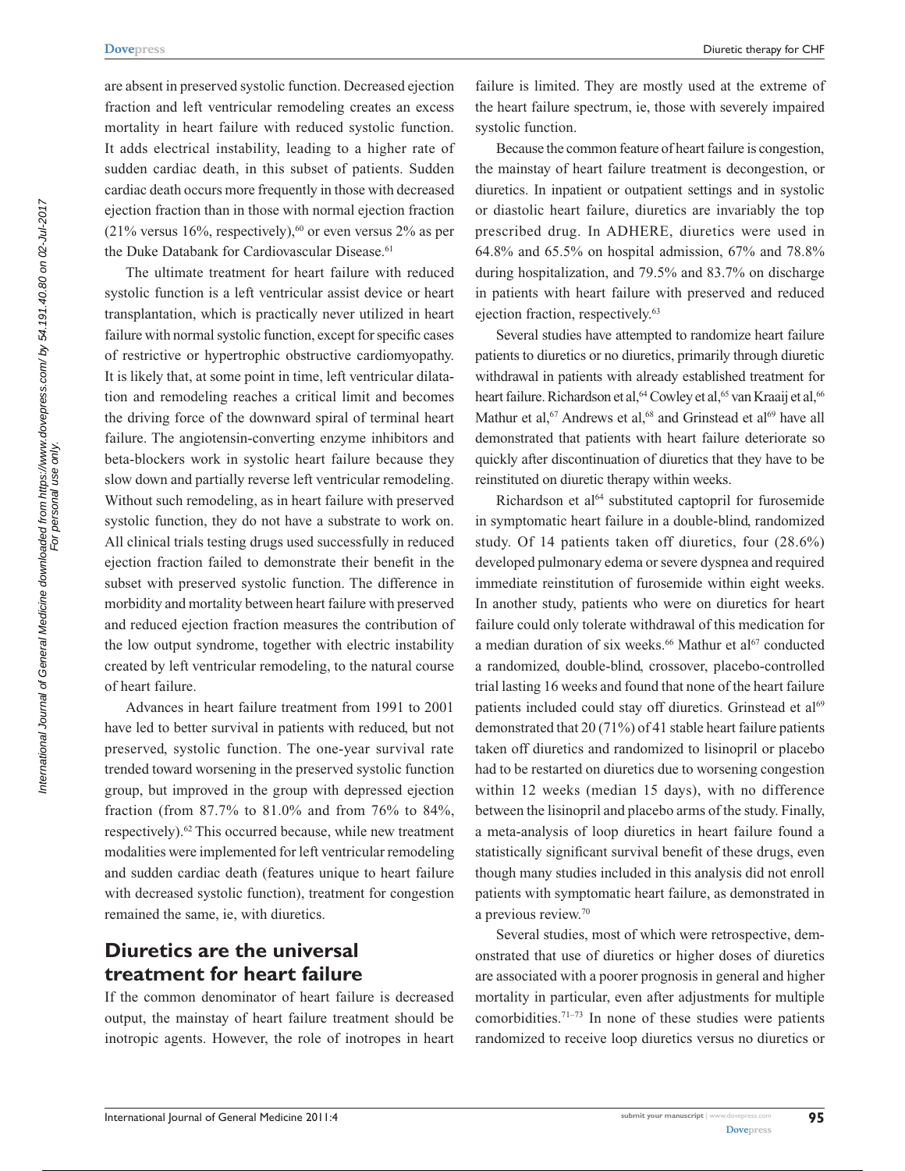Diuretic therapy for CHF

are absent in preserved systolic function. Decreased ejection fraction and left ventricular remodeling creates an excess mortality in heart failure with reduced systolic function. It adds electrical instability, leading to a higher rate of sudden cardiac death, in this subset of patients. Sudden cardiac death occurs more frequently in those with decreased ejection fraction than in those with normal ejection fraction  $(21\%$  versus 16%, respectively),<sup>60</sup> or even versus 2% as per the Duke Databank for Cardiovascular Disease.<sup>61</sup>

The ultimate treatment for heart failure with reduced systolic function is a left ventricular assist device or heart transplantation, which is practically never utilized in heart failure with normal systolic function, except for specific cases of restrictive or hypertrophic obstructive cardiomyopathy. It is likely that, at some point in time, left ventricular dilatation and remodeling reaches a critical limit and becomes the driving force of the downward spiral of terminal heart failure. The angiotensin-converting enzyme inhibitors and beta-blockers work in systolic heart failure because they slow down and partially reverse left ventricular remodeling. Without such remodeling, as in heart failure with preserved systolic function, they do not have a substrate to work on. All clinical trials testing drugs used successfully in reduced ejection fraction failed to demonstrate their benefit in the subset with preserved systolic function. The difference in morbidity and mortality between heart failure with preserved and reduced ejection fraction measures the contribution of the low output syndrome, together with electric instability created by left ventricular remodeling, to the natural course of heart failure.

Advances in heart failure treatment from 1991 to 2001 have led to better survival in patients with reduced, but not preserved, systolic function. The one-year survival rate trended toward worsening in the preserved systolic function group, but improved in the group with depressed ejection fraction (from 87.7% to 81.0% and from 76% to 84%, respectively).62 This occurred because, while new treatment modalities were implemented for left ventricular remodeling and sudden cardiac death (features unique to heart failure with decreased systolic function), treatment for congestion remained the same, ie, with diuretics.

## **Diuretics are the universal treatment for heart failure**

If the common denominator of heart failure is decreased output, the mainstay of heart failure treatment should be inotropic agents. However, the role of inotropes in heart failure is limited. They are mostly used at the extreme of the heart failure spectrum, ie, those with severely impaired systolic function.

Because the common feature of heart failure is congestion, the mainstay of heart failure treatment is decongestion, or diuretics. In inpatient or outpatient settings and in systolic or diastolic heart failure, diuretics are invariably the top prescribed drug. In ADHERE, diuretics were used in 64.8% and 65.5% on hospital admission, 67% and 78.8% during hospitalization, and 79.5% and 83.7% on discharge in patients with heart failure with preserved and reduced ejection fraction, respectively.<sup>63</sup>

Several studies have attempted to randomize heart failure patients to diuretics or no diuretics, primarily through diuretic withdrawal in patients with already established treatment for heart failure. Richardson et al, <sup>64</sup> Cowley et al, <sup>65</sup> van Kraaij et al, <sup>66</sup> Mathur et al,<sup>67</sup> Andrews et al,<sup>68</sup> and Grinstead et al<sup>69</sup> have all demonstrated that patients with heart failure deteriorate so quickly after discontinuation of diuretics that they have to be reinstituted on diuretic therapy within weeks.

Richardson et al<sup>64</sup> substituted captopril for furosemide in symptomatic heart failure in a double-blind, randomized study. Of 14 patients taken off diuretics, four (28.6%) developed pulmonary edema or severe dyspnea and required immediate reinstitution of furosemide within eight weeks. In another study, patients who were on diuretics for heart failure could only tolerate withdrawal of this medication for a median duration of six weeks.<sup>66</sup> Mathur et al<sup>67</sup> conducted a randomized, double-blind, crossover, placebo-controlled trial lasting 16 weeks and found that none of the heart failure patients included could stay off diuretics. Grinstead et al<sup>69</sup> demonstrated that 20 (71%) of 41 stable heart failure patients taken off diuretics and randomized to lisinopril or placebo had to be restarted on diuretics due to worsening congestion within 12 weeks (median 15 days), with no difference between the lisinopril and placebo arms of the study. Finally, a meta-analysis of loop diuretics in heart failure found a statistically significant survival benefit of these drugs, even though many studies included in this analysis did not enroll patients with symptomatic heart failure, as demonstrated in a previous review.70

Several studies, most of which were retrospective, demonstrated that use of diuretics or higher doses of diuretics are associated with a poorer prognosis in general and higher mortality in particular, even after adjustments for multiple comorbidities.71–73 In none of these studies were patients randomized to receive loop diuretics versus no diuretics or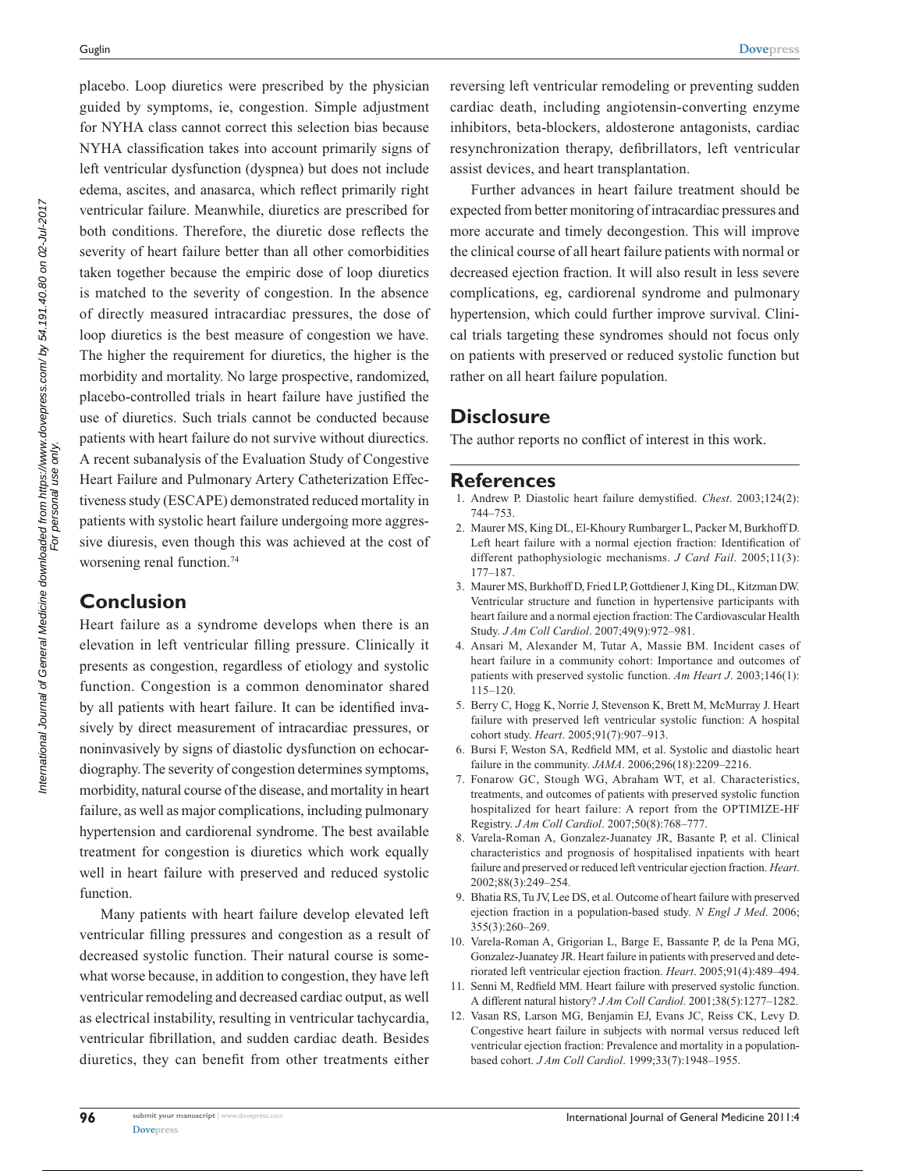placebo. Loop diuretics were prescribed by the physician guided by symptoms, ie, congestion. Simple adjustment for NYHA class cannot correct this selection bias because NYHA classification takes into account primarily signs of left ventricular dysfunction (dyspnea) but does not include edema, ascites, and anasarca, which reflect primarily right ventricular failure. Meanwhile, diuretics are prescribed for both conditions. Therefore, the diuretic dose reflects the severity of heart failure better than all other comorbidities taken together because the empiric dose of loop diuretics is matched to the severity of congestion. In the absence of directly measured intracardiac pressures, the dose of loop diuretics is the best measure of congestion we have. The higher the requirement for diuretics, the higher is the morbidity and mortality. No large prospective, randomized, placebo-controlled trials in heart failure have justified the use of diuretics. Such trials cannot be conducted because patients with heart failure do not survive without diurectics. A recent subanalysis of the Evaluation Study of Congestive Heart Failure and Pulmonary Artery Catheterization Effectiveness study (ESCAPE) demonstrated reduced mortality in patients with systolic heart failure undergoing more aggressive diuresis, even though this was achieved at the cost of worsening renal function.<sup>74</sup>

#### **Conclusion**

Heart failure as a syndrome develops when there is an elevation in left ventricular filling pressure. Clinically it presents as congestion, regardless of etiology and systolic function. Congestion is a common denominator shared by all patients with heart failure. It can be identified invasively by direct measurement of intracardiac pressures, or noninvasively by signs of diastolic dysfunction on echocardiography. The severity of congestion determines symptoms, morbidity, natural course of the disease, and mortality in heart failure, as well as major complications, including pulmonary hypertension and cardiorenal syndrome. The best available treatment for congestion is diuretics which work equally well in heart failure with preserved and reduced systolic function.

Many patients with heart failure develop elevated left ventricular filling pressures and congestion as a result of decreased systolic function. Their natural course is somewhat worse because, in addition to congestion, they have left ventricular remodeling and decreased cardiac output, as well as electrical instability, resulting in ventricular tachycardia, ventricular fibrillation, and sudden cardiac death. Besides diuretics, they can benefit from other treatments either reversing left ventricular remodeling or preventing sudden cardiac death, including angiotensin-converting enzyme inhibitors, beta-blockers, aldosterone antagonists, cardiac resynchronization therapy, defibrillators, left ventricular assist devices, and heart transplantation.

Further advances in heart failure treatment should be expected from better monitoring of intracardiac pressures and more accurate and timely decongestion. This will improve the clinical course of all heart failure patients with normal or decreased ejection fraction. It will also result in less severe complications, eg, cardiorenal syndrome and pulmonary hypertension, which could further improve survival. Clinical trials targeting these syndromes should not focus only on patients with preserved or reduced systolic function but rather on all heart failure population.

#### **Disclosure**

The author reports no conflict of interest in this work.

#### **References**

- 1. Andrew P. Diastolic heart failure demystified. *Chest*. 2003;124(2): 744–753.
- 2. Maurer MS, King DL, El-Khoury Rumbarger L, Packer M, Burkhoff D. Left heart failure with a normal ejection fraction: Identification of different pathophysiologic mechanisms. *J Card Fail*. 2005;11(3): 177–187.
- 3. Maurer MS, Burkhoff D, Fried LP, Gottdiener J, King DL, Kitzman DW. Ventricular structure and function in hypertensive participants with heart failure and a normal ejection fraction: The Cardiovascular Health Study. *J Am Coll Cardiol*. 2007;49(9):972–981.
- 4. Ansari M, Alexander M, Tutar A, Massie BM. Incident cases of heart failure in a community cohort: Importance and outcomes of patients with preserved systolic function. *Am Heart J*. 2003;146(1): 115–120.
- 5. Berry C, Hogg K, Norrie J, Stevenson K, Brett M, McMurray J. Heart failure with preserved left ventricular systolic function: A hospital cohort study. *Heart*. 2005;91(7):907–913.
- 6. Bursi F, Weston SA, Redfield MM, et al. Systolic and diastolic heart failure in the community. *JAMA*. 2006;296(18):2209–2216.
- 7. Fonarow GC, Stough WG, Abraham WT, et al. Characteristics, treatments, and outcomes of patients with preserved systolic function hospitalized for heart failure: A report from the OPTIMIZE-HF Registry. *J Am Coll Cardiol*. 2007;50(8):768–777.
- 8. Varela-Roman A, Gonzalez-Juanatey JR, Basante P, et al. Clinical characteristics and prognosis of hospitalised inpatients with heart failure and preserved or reduced left ventricular ejection fraction. *Heart*. 2002;88(3):249–254.
- 9. Bhatia RS, Tu JV, Lee DS, et al. Outcome of heart failure with preserved ejection fraction in a population-based study. *N Engl J Med*. 2006; 355(3):260–269.
- 10. Varela-Roman A, Grigorian L, Barge E, Bassante P, de la Pena MG, Gonzalez-Juanatey JR. Heart failure in patients with preserved and deteriorated left ventricular ejection fraction. *Heart*. 2005;91(4):489–494.
- 11. Senni M, Redfield MM. Heart failure with preserved systolic function. A different natural history? *J Am Coll Cardiol*. 2001;38(5):1277–1282.
- 12. Vasan RS, Larson MG, Benjamin EJ, Evans JC, Reiss CK, Levy D. Congestive heart failure in subjects with normal versus reduced left ventricular ejection fraction: Prevalence and mortality in a populationbased cohort. *J Am Coll Cardiol*. 1999;33(7):1948–1955.

**96**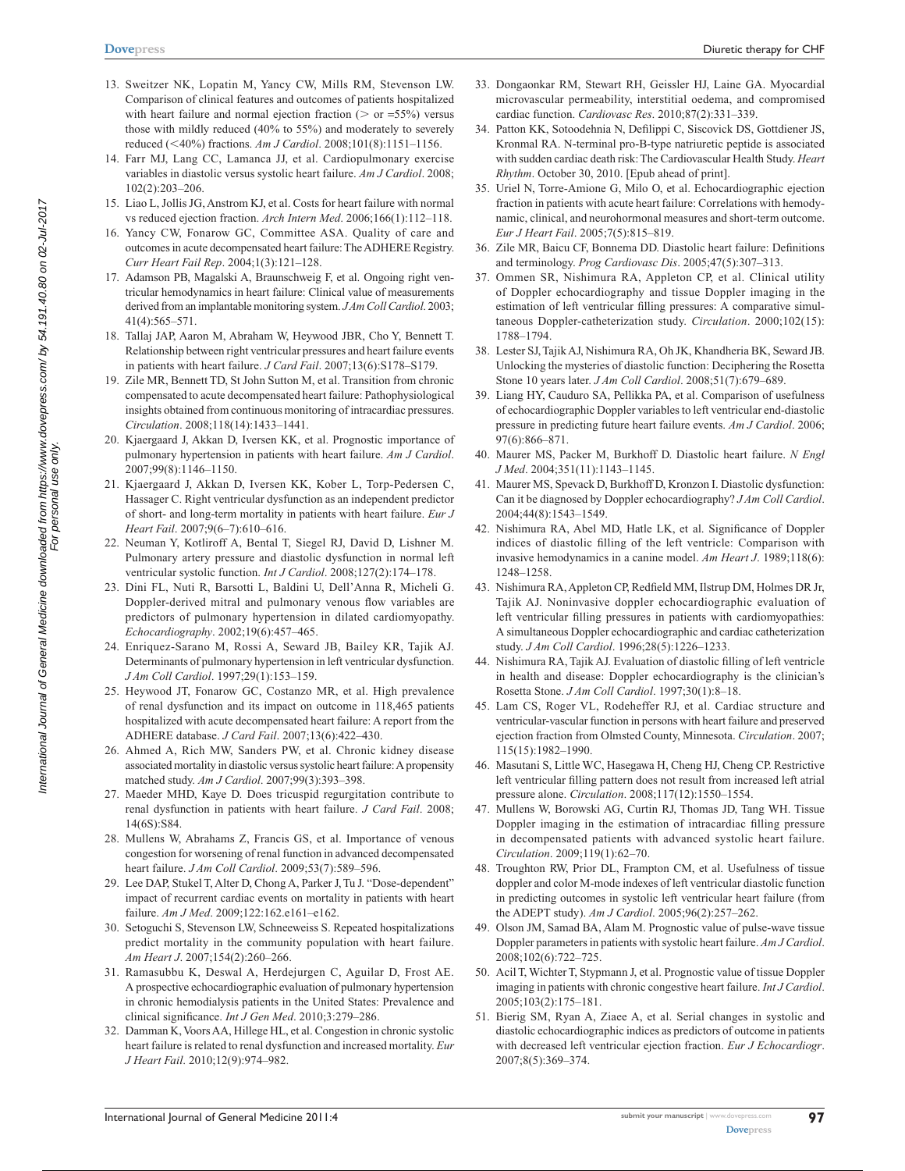- 13. Sweitzer NK, Lopatin M, Yancy CW, Mills RM, Stevenson LW. Comparison of clinical features and outcomes of patients hospitalized with heart failure and normal ejection fraction ( $>$  or =55%) versus those with mildly reduced (40% to 55%) and moderately to severely reduced (<40%) fractions. *Am J Cardiol*. 2008;101(8):1151-1156.
- 14. Farr MJ, Lang CC, Lamanca JJ, et al. Cardiopulmonary exercise variables in diastolic versus systolic heart failure. *Am J Cardiol*. 2008; 102(2):203–206.
- 15. Liao L, Jollis JG, Anstrom KJ, et al. Costs for heart failure with normal vs reduced ejection fraction. *Arch Intern Med*. 2006;166(1):112–118.
- 16. Yancy CW, Fonarow GC, Committee ASA. Quality of care and outcomes in acute decompensated heart failure: The ADHERE Registry. *Curr Heart Fail Rep*. 2004;1(3):121–128.
- 17. Adamson PB, Magalski A, Braunschweig F, et al. Ongoing right ventricular hemodynamics in heart failure: Clinical value of measurements derived from an implantable monitoring system. *J Am Coll Cardiol*. 2003; 41(4):565–571.
- 18. Tallaj JAP, Aaron M, Abraham W, Heywood JBR, Cho Y, Bennett T. Relationship between right ventricular pressures and heart failure events in patients with heart failure. *J Card Fail*. 2007;13(6):S178–S179.
- 19. Zile MR, Bennett TD, St John Sutton M, et al. Transition from chronic compensated to acute decompensated heart failure: Pathophysiological insights obtained from continuous monitoring of intracardiac pressures. *Circulation*. 2008;118(14):1433–1441.
- 20. Kjaergaard J, Akkan D, Iversen KK, et al. Prognostic importance of pulmonary hypertension in patients with heart failure. *Am J Cardiol*. 2007;99(8):1146–1150.
- 21. Kjaergaard J, Akkan D, Iversen KK, Kober L, Torp-Pedersen C, Hassager C. Right ventricular dysfunction as an independent predictor of short- and long-term mortality in patients with heart failure. *Eur J Heart Fail*. 2007;9(6–7):610–616.
- 22. Neuman Y, Kotliroff A, Bental T, Siegel RJ, David D, Lishner M. Pulmonary artery pressure and diastolic dysfunction in normal left ventricular systolic function. *Int J Cardiol*. 2008;127(2):174–178.
- 23. Dini FL, Nuti R, Barsotti L, Baldini U, Dell'Anna R, Micheli G. Doppler-derived mitral and pulmonary venous flow variables are predictors of pulmonary hypertension in dilated cardiomyopathy. *Echocardiography*. 2002;19(6):457–465.
- 24. Enriquez-Sarano M, Rossi A, Seward JB, Bailey KR, Tajik AJ. Determinants of pulmonary hypertension in left ventricular dysfunction. *J Am Coll Cardiol*. 1997;29(1):153–159.
- 25. Heywood JT, Fonarow GC, Costanzo MR, et al. High prevalence of renal dysfunction and its impact on outcome in 118,465 patients hospitalized with acute decompensated heart failure: A report from the ADHERE database. *J Card Fail*. 2007;13(6):422–430.
- 26. Ahmed A, Rich MW, Sanders PW, et al. Chronic kidney disease associated mortality in diastolic versus systolic heart failure: A propensity matched study. *Am J Cardiol*. 2007;99(3):393–398.
- 27. Maeder MHD, Kaye D. Does tricuspid regurgitation contribute to renal dysfunction in patients with heart failure. *J Card Fail*. 2008; 14(6S):S84.
- 28. Mullens W, Abrahams Z, Francis GS, et al. Importance of venous congestion for worsening of renal function in advanced decompensated heart failure. *J Am Coll Cardiol*. 2009;53(7):589–596.
- 29. Lee DAP, Stukel T, Alter D, Chong A, Parker J, Tu J. "Dose-dependent" impact of recurrent cardiac events on mortality in patients with heart failure. Am J Med. 2009;122:162.e161-e162.
- 30. Setoguchi S, Stevenson LW, Schneeweiss S. Repeated hospitalizations predict mortality in the community population with heart failure. *Am Heart J*. 2007;154(2):260–266.
- 31. Ramasubbu K, Deswal A, Herdejurgen C, Aguilar D, Frost AE. A prospective echocardiographic evaluation of pulmonary hypertension in chronic hemodialysis patients in the United States: Prevalence and clinical significance. *Int J Gen Med*. 2010;3:279–286.
- 32. Damman K, Voors AA, Hillege HL, et al. Congestion in chronic systolic heart failure is related to renal dysfunction and increased mortality. *Eur J Heart Fail*. 2010;12(9):974–982.
- 33. Dongaonkar RM, Stewart RH, Geissler HJ, Laine GA. Myocardial microvascular permeability, interstitial oedema, and compromised cardiac function. *Cardiovasc Res*. 2010;87(2):331–339.
- 34. Patton KK, Sotoodehnia N, Defilippi C, Siscovick DS, Gottdiener JS, Kronmal RA. N-terminal pro-B-type natriuretic peptide is associated with sudden cardiac death risk: The Cardiovascular Health Study. *Heart Rhythm*. October 30, 2010. [Epub ahead of print].
- 35. Uriel N, Torre-Amione G, Milo O, et al. Echocardiographic ejection fraction in patients with acute heart failure: Correlations with hemodynamic, clinical, and neurohormonal measures and short-term outcome. *Eur J Heart Fail*. 2005;7(5):815–819.
- 36. Zile MR, Baicu CF, Bonnema DD. Diastolic heart failure: Definitions and terminology. *Prog Cardiovasc Dis*. 2005;47(5):307–313.
- 37. Ommen SR, Nishimura RA, Appleton CP, et al. Clinical utility of Doppler echocardiography and tissue Doppler imaging in the estimation of left ventricular filling pressures: A comparative simultaneous Doppler-catheterization study. *Circulation*. 2000;102(15): 1788–1794.
- 38. Lester SJ, Tajik AJ, Nishimura RA, Oh JK, Khandheria BK, Seward JB. Unlocking the mysteries of diastolic function: Deciphering the Rosetta Stone 10 years later. *J Am Coll Cardiol*. 2008;51(7):679–689.
- 39. Liang HY, Cauduro SA, Pellikka PA, et al. Comparison of usefulness of echocardiographic Doppler variables to left ventricular end-diastolic pressure in predicting future heart failure events. *Am J Cardiol*. 2006; 97(6):866–871.
- 40. Maurer MS, Packer M, Burkhoff D. Diastolic heart failure. *N Engl J Med*. 2004;351(11):1143–1145.
- 41. Maurer MS, Spevack D, Burkhoff D, Kronzon I. Diastolic dysfunction: Can it be diagnosed by Doppler echocardiography? *J Am Coll Cardiol*. 2004;44(8):1543–1549.
- 42. Nishimura RA, Abel MD, Hatle LK, et al. Significance of Doppler indices of diastolic filling of the left ventricle: Comparison with invasive hemodynamics in a canine model. *Am Heart J*. 1989;118(6): 1248–1258.
- 43. Nishimura RA, Appleton CP, Redfield MM, Ilstrup DM, Holmes DR Jr, Tajik AJ. Noninvasive doppler echocardiographic evaluation of left ventricular filling pressures in patients with cardiomyopathies: A simultaneous Doppler echocardiographic and cardiac catheterization study. *J Am Coll Cardiol*. 1996;28(5):1226–1233.
- 44. Nishimura RA, Tajik AJ. Evaluation of diastolic filling of left ventricle in health and disease: Doppler echocardiography is the clinician's Rosetta Stone. *J Am Coll Cardiol*. 1997;30(1):8–18.
- 45. Lam CS, Roger VL, Rodeheffer RJ, et al. Cardiac structure and ventricular-vascular function in persons with heart failure and preserved ejection fraction from Olmsted County, Minnesota. *Circulation*. 2007; 115(15):1982–1990.
- 46. Masutani S, Little WC, Hasegawa H, Cheng HJ, Cheng CP. Restrictive left ventricular filling pattern does not result from increased left atrial pressure alone. *Circulation*. 2008;117(12):1550–1554.
- 47. Mullens W, Borowski AG, Curtin RJ, Thomas JD, Tang WH. Tissue Doppler imaging in the estimation of intracardiac filling pressure in decompensated patients with advanced systolic heart failure. *Circulation*. 2009;119(1):62–70.
- 48. Troughton RW, Prior DL, Frampton CM, et al. Usefulness of tissue doppler and color M-mode indexes of left ventricular diastolic function in predicting outcomes in systolic left ventricular heart failure (from the ADEPT study). *Am J Cardiol*. 2005;96(2):257–262.
- 49. Olson JM, Samad BA, Alam M. Prognostic value of pulse-wave tissue Doppler parameters in patients with systolic heart failure. *Am J Cardiol*. 2008;102(6):722–725.
- 50. Acil T, Wichter T, Stypmann J, et al. Prognostic value of tissue Doppler imaging in patients with chronic congestive heart failure. *Int J Cardiol*. 2005;103(2):175–181.
- 51. Bierig SM, Ryan A, Ziaee A, et al. Serial changes in systolic and diastolic echocardiographic indices as predictors of outcome in patients with decreased left ventricular ejection fraction. *Eur J Echocardiogr*. 2007;8(5):369–374.